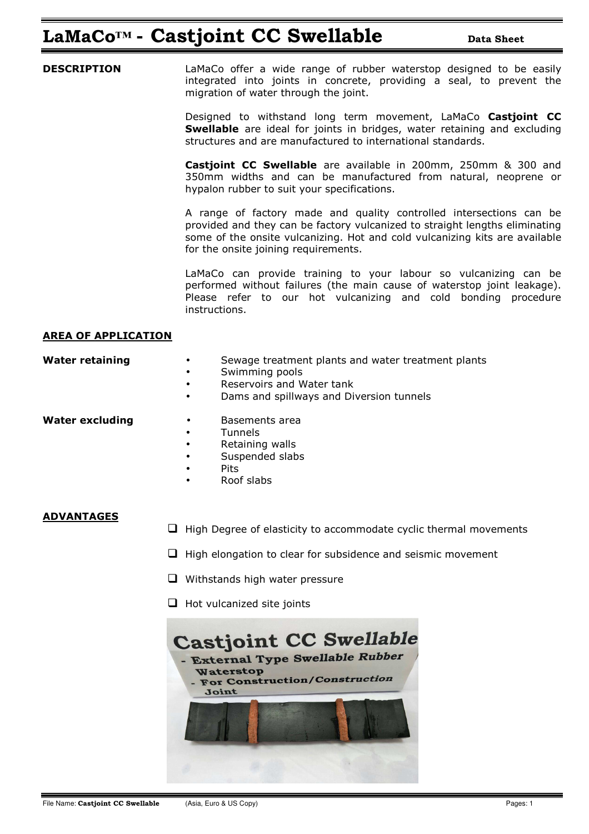## **LaMaCo<sup>™</sup> • Castjoint CC Swellable Data Sheet**

**DESCRIPTION** LaMaCo offer a wide range of rubber waterstop designed to be easily integrated into joints in concrete, providing a seal, to prevent the migration of water through the joint.

> Designed to withstand long term movement, LaMaCo **Castjoint CC Swellable** are ideal for joints in bridges, water retaining and excluding structures and are manufactured to international standards.

> **Castjoint CC Swellable** are available in 200mm, 250mm & 300 and 350mm widths and can be manufactured from natural, neoprene or hypalon rubber to suit your specifications.

> A range of factory made and quality controlled intersections can be provided and they can be factory vulcanized to straight lengths eliminating some of the onsite vulcanizing. Hot and cold vulcanizing kits are available for the onsite joining requirements.

> LaMaCo can provide training to your labour so vulcanizing can be performed without failures (the main cause of waterstop joint leakage). Please refer to our hot vulcanizing and cold bonding procedure instructions.

#### **AREA OF APPLICATION**

| Sewage treatment plants and water treatment plants |
|----------------------------------------------------|
| Cuimming noolo                                     |

- Swimming pools
- Reservoirs and Water tank
- Dams and spillways and Diversion tunnels

**Water retaining** 

- **Water excluding by a Basements area** 
	- Tunnels
	- Retaining walls
	- Suspended slabs
	- Pits
	- Roof slabs

### **ADVANTAGES**

- $\Box$  High Degree of elasticity to accommodate cyclic thermal movements
- $\Box$  High elongation to clear for subsidence and seismic movement
- $\Box$  Withstands high water pressure
- $\Box$  Hot vulcanized site joints

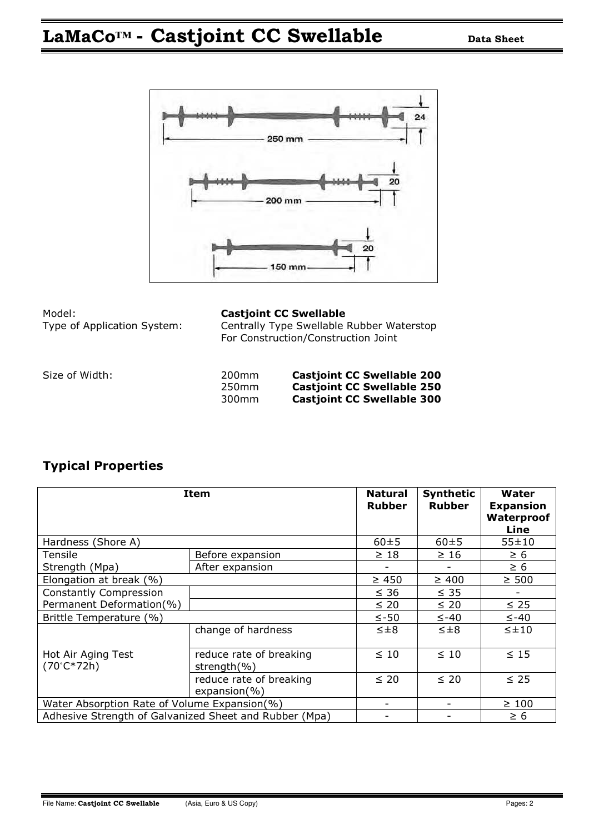# **LaMaCo<sup>™</sup> • Castjoint CC Swellable Data Sheet**



| Model:                      |  |
|-----------------------------|--|
| Type of Application System: |  |
|                             |  |

### **Castjoint CC Swellable**

Centrally Type Swellable Rubber Waterstop For Construction/Construction Joint

Size of Width:

| Size of Width: | 200 <sub>mm</sub> | <b>Castjoint CC Swellable 200</b> |
|----------------|-------------------|-----------------------------------|
|                | 250 <sub>mm</sub> | <b>Castjoint CC Swellable 250</b> |
|                | 300mm             | <b>Castjoint CC Swellable 300</b> |

## **Typical Properties**

| <b>Item</b>                                            |                                             | <b>Natural</b><br><b>Rubber</b> | <b>Synthetic</b><br><b>Rubber</b> | Water<br><b>Expansion</b><br>Waterproof<br>Line |
|--------------------------------------------------------|---------------------------------------------|---------------------------------|-----------------------------------|-------------------------------------------------|
| Hardness (Shore A)                                     | $60 + 5$                                    | $60 + 5$                        | 55±10                             |                                                 |
| Tensile                                                | Before expansion                            | $\geq 18$                       | $\geq 16$                         | $\geq 6$                                        |
| Strength (Mpa)                                         | After expansion                             |                                 |                                   | $\geq 6$                                        |
| Elongation at break (%)                                |                                             | $\geq 450$                      | $\geq 400$                        | $\geq 500$                                      |
| <b>Constantly Compression</b>                          |                                             | $\leq 36$                       | $\leq$ 35                         |                                                 |
| Permanent Deformation(%)                               |                                             | $\leq 20$                       | $\leq 20$                         | $\leq$ 25                                       |
| Brittle Temperature (%)                                |                                             | $\le -50$                       | $\leq -40$                        | $\leq -40$                                      |
|                                                        | change of hardness                          | $\leq \pm 8$                    | $\leq \pm 8$                      | $\leq \pm 10$                                   |
| Hot Air Aging Test<br>$(70^{\circ}C*72h)$              | reduce rate of breaking<br>strength $(\% )$ | $\leq 10$                       | $\leq 10$                         | $\leq 15$                                       |
|                                                        | reduce rate of breaking<br>$expansion(\% )$ | $\leq 20$                       | $\leq 20$                         | $\leq$ 25                                       |
| Water Absorption Rate of Volume Expansion(%)           | -                                           |                                 | $\geq 100$                        |                                                 |
| Adhesive Strength of Galvanized Sheet and Rubber (Mpa) |                                             |                                 | $\geq 6$                          |                                                 |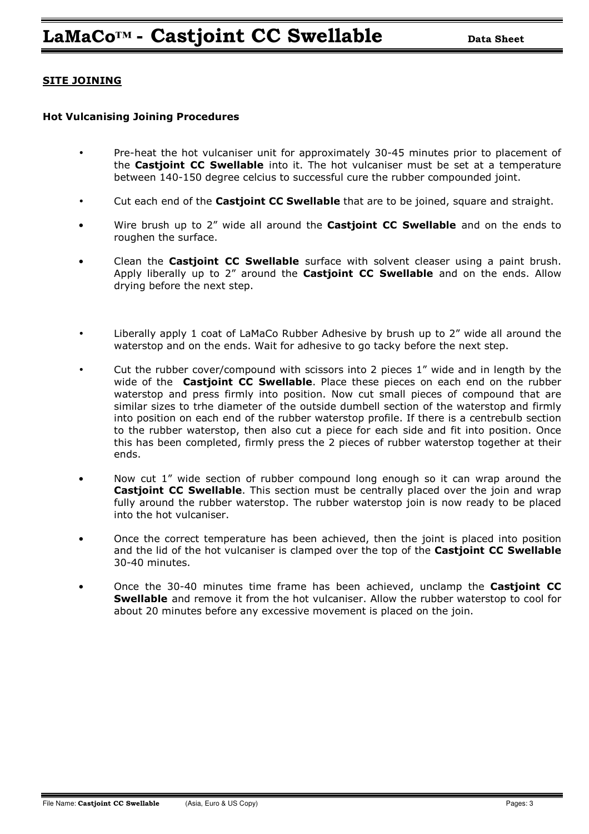### **SITE JOINING**

#### **Hot Vulcanising Joining Procedures**

- Pre-heat the hot vulcaniser unit for approximately 30-45 minutes prior to placement of the **Castjoint CC Swellable** into it. The hot vulcaniser must be set at a temperature between 140-150 degree celcius to successful cure the rubber compounded joint.
- Cut each end of the **Castjoint CC Swellable** that are to be joined, square and straight.
- Wire brush up to 2" wide all around the **Castjoint CC Swellable** and on the ends to roughen the surface.
- Clean the **Castjoint CC Swellable** surface with solvent cleaser using a paint brush. Apply liberally up to 2" around the **Castjoint CC Swellable** and on the ends. Allow drying before the next step.
- Liberally apply 1 coat of LaMaCo Rubber Adhesive by brush up to 2" wide all around the waterstop and on the ends. Wait for adhesive to go tacky before the next step.
- Cut the rubber cover/compound with scissors into 2 pieces 1" wide and in length by the wide of the **Castjoint CC Swellable**. Place these pieces on each end on the rubber waterstop and press firmly into position. Now cut small pieces of compound that are similar sizes to trhe diameter of the outside dumbell section of the waterstop and firmly into position on each end of the rubber waterstop profile. If there is a centrebulb section to the rubber waterstop, then also cut a piece for each side and fit into position. Once this has been completed, firmly press the 2 pieces of rubber waterstop together at their ends.
- Now cut 1" wide section of rubber compound long enough so it can wrap around the **Castjoint CC Swellable**. This section must be centrally placed over the join and wrap fully around the rubber waterstop. The rubber waterstop join is now ready to be placed into the hot vulcaniser.
- Once the correct temperature has been achieved, then the joint is placed into position and the lid of the hot vulcaniser is clamped over the top of the **Castjoint CC Swellable**  30-40 minutes.
- Once the 30-40 minutes time frame has been achieved, unclamp the **Castjoint CC Swellable** and remove it from the hot vulcaniser. Allow the rubber waterstop to cool for about 20 minutes before any excessive movement is placed on the join.